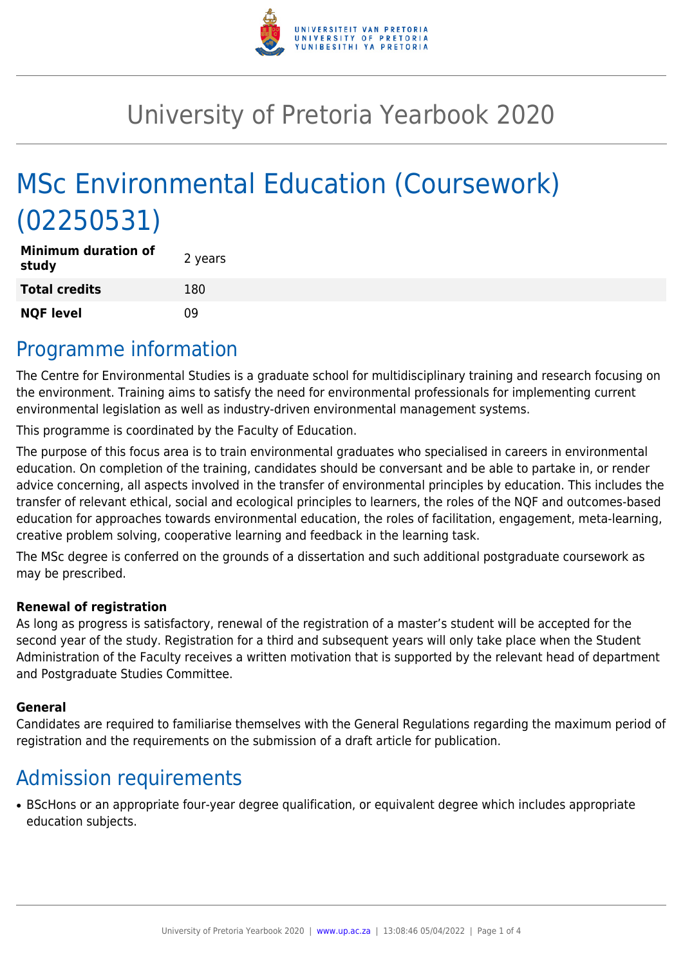

# University of Pretoria Yearbook 2020

# MSc Environmental Education (Coursework) (02250531)

| <b>Minimum duration of</b><br>study | 2 years |
|-------------------------------------|---------|
| <b>Total credits</b>                | 180     |
| <b>NQF level</b>                    | 09      |

#### Programme information

The Centre for Environmental Studies is a graduate school for multidisciplinary training and research focusing on the environment. Training aims to satisfy the need for environmental professionals for implementing current environmental legislation as well as industry-driven environmental management systems.

This programme is coordinated by the Faculty of Education.

The purpose of this focus area is to train environmental graduates who specialised in careers in environmental education. On completion of the training, candidates should be conversant and be able to partake in, or render advice concerning, all aspects involved in the transfer of environmental principles by education. This includes the transfer of relevant ethical, social and ecological principles to learners, the roles of the NQF and outcomes-based education for approaches towards environmental education, the roles of facilitation, engagement, meta-learning, creative problem solving, cooperative learning and feedback in the learning task.

The MSc degree is conferred on the grounds of a dissertation and such additional postgraduate coursework as may be prescribed.

#### **Renewal of registration**

As long as progress is satisfactory, renewal of the registration of a master's student will be accepted for the second year of the study. Registration for a third and subsequent years will only take place when the Student Administration of the Faculty receives a written motivation that is supported by the relevant head of department and Postgraduate Studies Committee.

#### **General**

Candidates are required to familiarise themselves with the General Regulations regarding the maximum period of registration and the requirements on the submission of a draft article for publication.

### Admission requirements

• BScHons or an appropriate four-year degree qualification, or equivalent degree which includes appropriate education subjects.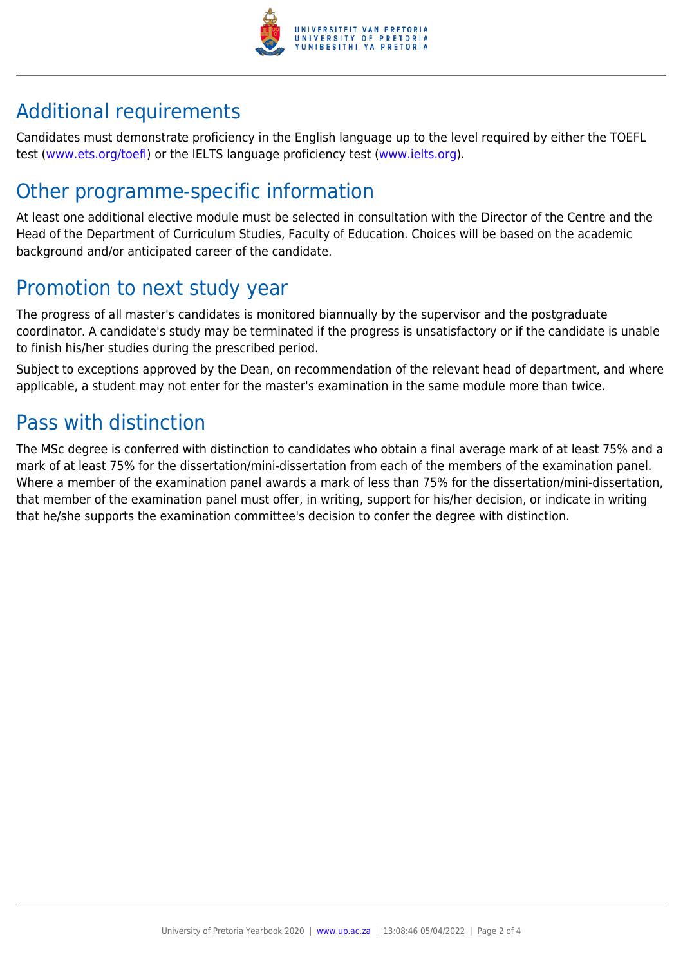

## Additional requirements

Candidates must demonstrate proficiency in the English language up to the level required by either the TOEFL test [\(www.ets.org/toefl\)](http://www.ets.org/toefl) or the IELTS language proficiency test ([www.ielts.org](http://www.ielts.org)).

## Other programme-specific information

At least one additional elective module must be selected in consultation with the Director of the Centre and the Head of the Department of Curriculum Studies, Faculty of Education. Choices will be based on the academic background and/or anticipated career of the candidate.

## Promotion to next study year

The progress of all master's candidates is monitored biannually by the supervisor and the postgraduate coordinator. A candidate's study may be terminated if the progress is unsatisfactory or if the candidate is unable to finish his/her studies during the prescribed period.

Subject to exceptions approved by the Dean, on recommendation of the relevant head of department, and where applicable, a student may not enter for the master's examination in the same module more than twice.

### Pass with distinction

The MSc degree is conferred with distinction to candidates who obtain a final average mark of at least 75% and a mark of at least 75% for the dissertation/mini-dissertation from each of the members of the examination panel. Where a member of the examination panel awards a mark of less than 75% for the dissertation/mini-dissertation, that member of the examination panel must offer, in writing, support for his/her decision, or indicate in writing that he/she supports the examination committee's decision to confer the degree with distinction.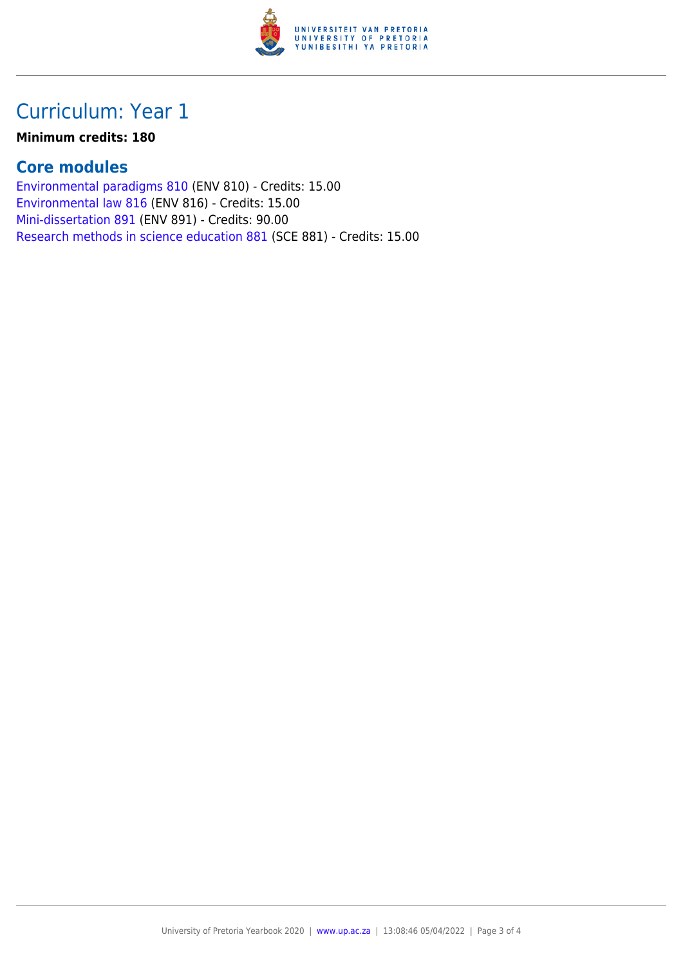

### Curriculum: Year 1

#### **Minimum credits: 180**

#### **Core modules**

[Environmental paradigms 810](https://www.up.ac.za/yearbooks/2020/modules/view/ENV 810) (ENV 810) - Credits: 15.00 [Environmental law 816](https://www.up.ac.za/yearbooks/2020/modules/view/ENV 816) (ENV 816) - Credits: 15.00 [Mini-dissertation 891](https://www.up.ac.za/yearbooks/2020/modules/view/ENV 891) (ENV 891) - Credits: 90.00 [Research methods in science education 881](https://www.up.ac.za/yearbooks/2020/modules/view/SCE 881) (SCE 881) - Credits: 15.00